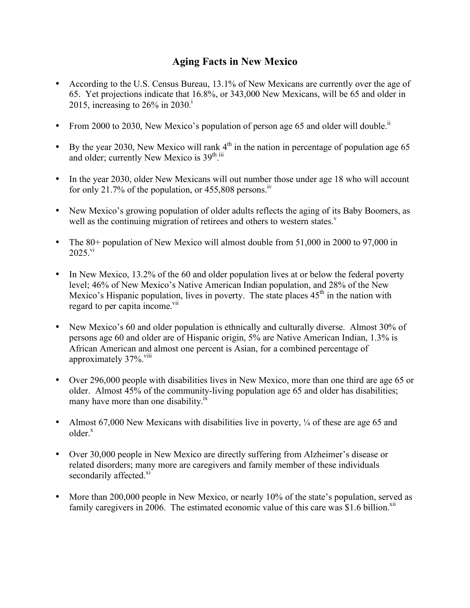## **Aging Facts in New Mexico**

- According to the U.S. Census Bureau, 13.1% of New Mexicans are currently over the age of 65. Yet projections indicate that 16.8%, or 343,000 New Mexicans, will be 65 and older in 2015, increasing to  $26\%$  in  $2030$ .<sup>1</sup>
- From 2000 to 2030, New Mexico's population of person age 65 and older will double.<sup>ii</sup>
- By the year 2030, New Mexico will rank  $4<sup>th</sup>$  in the nation in percentage of population age 65 and older; currently New Mexico is 39<sup>th iii</sup>
- In the year 2030, older New Mexicans will out number those under age 18 who will account for only 21.7% of the population, or  $455,808$  persons.<sup>1v</sup>
- New Mexico's growing population of older adults reflects the aging of its Baby Boomers, as well as the continuing migration of retirees and others to western states.<sup> $v$ </sup>
- The 80+ population of New Mexico will almost double from 51,000 in 2000 to 97,000 in  $2025.^{\rm vi}$
- In New Mexico, 13.2% of the 60 and older population lives at or below the federal poverty level; 46% of New Mexico's Native American Indian population, and 28% of the New Mexico's Hispanic population, lives in poverty. The state places  $45<sup>th</sup>$  in the nation with regard to per capita income.<sup>vii</sup>
- New Mexico's 60 and older population is ethnically and culturally diverse. Almost 30% of persons age 60 and older are of Hispanic origin, 5% are Native American Indian, 1.3% is African American and almost one percent is Asian, for a combined percentage of approximately  $37\%$ .  $\frac{\text{VIII}}{\text{VIII}}$
- Over 296,000 people with disabilities lives in New Mexico, more than one third are age 65 or older. Almost 45% of the community-living population age 65 and older has disabilities; many have more than one disability.<sup>ix</sup>
- Almost 67,000 New Mexicans with disabilities live in poverty,  $\frac{1}{4}$  of these are age 65 and  $older<sub>x</sub>$
- Over 30,000 people in New Mexico are directly suffering from Alzheimer's disease or related disorders; many more are caregivers and family member of these individuals secondarily affected.<sup>xi</sup>
- More than 200,000 people in New Mexico, or nearly 10% of the state's population, served as family caregivers in 2006. The estimated economic value of this care was  $$1.6$  billion.<sup>xii</sup>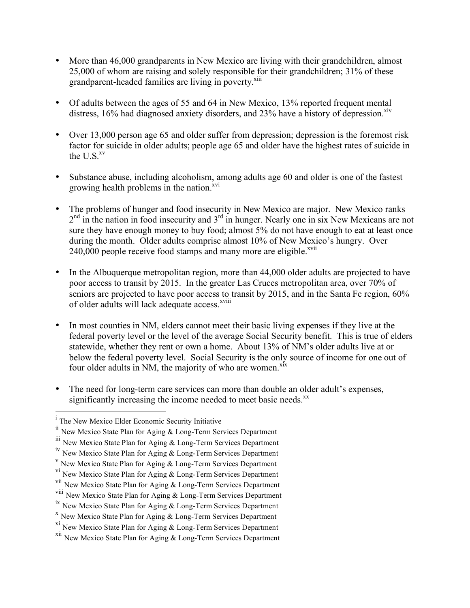- More than 46,000 grandparents in New Mexico are living with their grandchildren, almost 25,000 of whom are raising and solely responsible for their grandchildren; 31% of these grandparent-headed families are living in poverty.<sup>xiii</sup>
- Of adults between the ages of 55 and 64 in New Mexico, 13% reported frequent mental distress,  $16\%$  had diagnosed anxiety disorders, and  $23\%$  have a history of depression.<sup>xiv</sup>
- Over 13,000 person age 65 and older suffer from depression; depression is the foremost risk factor for suicide in older adults; people age 65 and older have the highest rates of suicide in the  $U.S.^{xy}$
- Substance abuse, including alcoholism, among adults age 60 and older is one of the fastest growing health problems in the nation. $x^{vi}$
- The problems of hunger and food insecurity in New Mexico are major. New Mexico ranks  $2<sup>nd</sup>$  in the nation in food insecurity and  $3<sup>rd</sup>$  in hunger. Nearly one in six New Mexicans are not sure they have enough money to buy food; almost 5% do not have enough to eat at least once during the month. Older adults comprise almost 10% of New Mexico's hungry. Over 240,000 people receive food stamps and many more are eligible.<sup> $xvi$ </sup>
- In the Albuquerque metropolitan region, more than 44,000 older adults are projected to have poor access to transit by 2015. In the greater Las Cruces metropolitan area, over 70% of seniors are projected to have poor access to transit by 2015, and in the Santa Fe region, 60% of older adults will lack adequate access.<sup>xviii</sup>
- In most counties in NM, elders cannot meet their basic living expenses if they live at the federal poverty level or the level of the average Social Security benefit. This is true of elders statewide, whether they rent or own a home. About 13% of NM's older adults live at or below the federal poverty level. Social Security is the only source of income for one out of four older adults in NM, the majority of who are women.<sup>xix</sup>
- The need for long-term care services can more than double an older adult's expenses, significantly increasing the income needed to meet basic needs. $<sup>xx</sup>$ </sup>

<sup>|&</sup>lt;br>i <sup>i</sup> The New Mexico Elder Economic Security Initiative

if New Mexico State Plan for Aging & Long-Term Services Department

iii New Mexico State Plan for Aging & Long-Term Services Department

iv New Mexico State Plan for Aging & Long-Term Services Department

<sup>&</sup>lt;sup>v</sup> New Mexico State Plan for Aging  $\&$  Long-Term Services Department

<sup>&</sup>lt;sup>vi</sup> New Mexico State Plan for Aging & Long-Term Services Department

vii New Mexico State Plan for Aging & Long-Term Services Department

viii New Mexico State Plan for Aging & Long-Term Services Department

<sup>&</sup>lt;sup>ix</sup> New Mexico State Plan for Aging  $\&$  Long-Term Services Department  $x$  New Mexico State Plan for Aging  $\&$  Long-Term Services Department

xi New Mexico State Plan for Aging & Long-Term Services Department

xii New Mexico State Plan for Aging & Long-Term Services Department